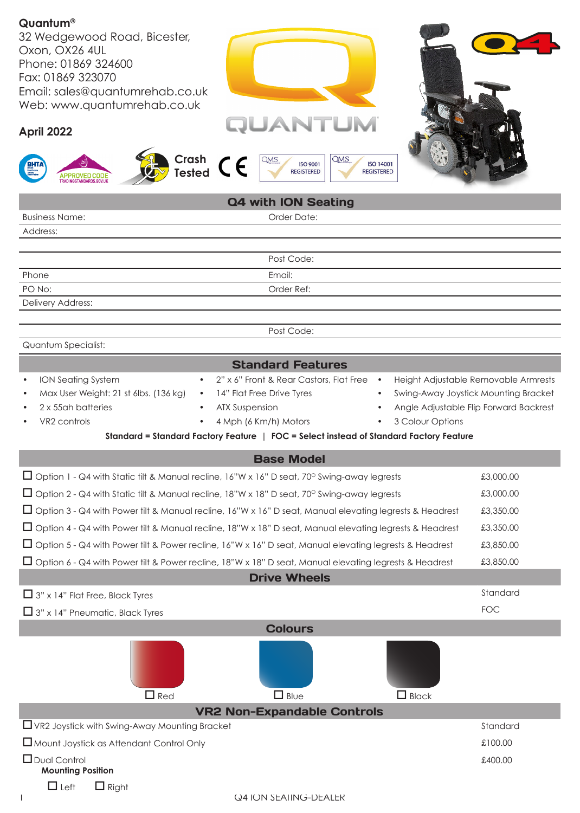| Quantum®<br>32 Wedgewood Road, Bicester,<br>Oxon, OX26 4UL<br>Phone: 01869 324600<br>Fax: 01869 323070<br>Email: sales@quantumrehab.co.uk<br>Web: www.quantumrehab.co.uk<br><b>QUANTUM</b><br>April 2022<br>Crash<br>QMS<br><b>QMS</b><br>$\epsilon$<br><b>ISO 9001</b><br><b>ISO 14001</b><br>Tested<br><b>REGISTERED</b><br><b>REGISTERED</b><br>APPROVED CODI                                                                                                                                                                     |            |  |
|--------------------------------------------------------------------------------------------------------------------------------------------------------------------------------------------------------------------------------------------------------------------------------------------------------------------------------------------------------------------------------------------------------------------------------------------------------------------------------------------------------------------------------------|------------|--|
| Q4 with ION Seating                                                                                                                                                                                                                                                                                                                                                                                                                                                                                                                  |            |  |
| Order Date:<br><b>Business Name:</b>                                                                                                                                                                                                                                                                                                                                                                                                                                                                                                 |            |  |
| Address:                                                                                                                                                                                                                                                                                                                                                                                                                                                                                                                             |            |  |
|                                                                                                                                                                                                                                                                                                                                                                                                                                                                                                                                      |            |  |
| Post Code:                                                                                                                                                                                                                                                                                                                                                                                                                                                                                                                           |            |  |
| Email:<br>Phone<br>PO No:<br>Order Ref:                                                                                                                                                                                                                                                                                                                                                                                                                                                                                              |            |  |
| Delivery Address:                                                                                                                                                                                                                                                                                                                                                                                                                                                                                                                    |            |  |
|                                                                                                                                                                                                                                                                                                                                                                                                                                                                                                                                      |            |  |
| Post Code:                                                                                                                                                                                                                                                                                                                                                                                                                                                                                                                           |            |  |
| Quantum Specialist:                                                                                                                                                                                                                                                                                                                                                                                                                                                                                                                  |            |  |
| <b>Standard Features</b>                                                                                                                                                                                                                                                                                                                                                                                                                                                                                                             |            |  |
| 2" x 6" Front & Rear Castors, Flat Free<br>ION Seating System<br>Height Adjustable Removable Armrests<br>$\bullet$<br>$\bullet$<br>$\bullet$<br>Max User Weight: 21 st 6lbs. (136 kg)<br>14" Flat Free Drive Tyres<br>Swing-Away Joystick Mounting Bracket<br>$\bullet$<br>2 x 55ah batteries<br>Angle Adjustable Flip Forward Backrest<br><b>ATX Suspension</b><br>4 Mph (6 Km/h) Motors<br>3 Colour Options<br>VR2 controls<br>$\bullet$<br>Standard = Standard Factory Feature   FOC = Select instead of Standard Factory Feature |            |  |
| <b>Base Model</b>                                                                                                                                                                                                                                                                                                                                                                                                                                                                                                                    |            |  |
| □ Option 1 - Q4 with Static tilt & Manual recline, 16"W x 16" D seat, 70° Swing-away legrests                                                                                                                                                                                                                                                                                                                                                                                                                                        | £3,000.00  |  |
| $\Box$ Option 2 - Q4 with Static tilt & Manual recline, 18"W x 18" D seat, 70° Swing-away legrests                                                                                                                                                                                                                                                                                                                                                                                                                                   | £3,000.00  |  |
| □ Option 3 - Q4 with Power tilt & Manual recline, 16"W x 16" D seat, Manual elevating legrests & Headrest                                                                                                                                                                                                                                                                                                                                                                                                                            | £3,350.00  |  |
| □ Option 4 - Q4 with Power tilt & Manual recline, 18"W x 18" D seat, Manual elevating legrests & Headrest                                                                                                                                                                                                                                                                                                                                                                                                                            | £3,350.00  |  |
| □ Option 5 - Q4 with Power tilt & Power recline, 16"W x 16" D seat, Manual elevating legrests & Headrest                                                                                                                                                                                                                                                                                                                                                                                                                             | £3,850.00  |  |
|                                                                                                                                                                                                                                                                                                                                                                                                                                                                                                                                      |            |  |
| £3,850.00<br>□ Option 6 - Q4 with Power tilt & Power recline, 18"W x 18" D seat, Manual elevating legrests & Headrest<br><b>Drive Wheels</b>                                                                                                                                                                                                                                                                                                                                                                                         |            |  |
| $\Box$ 3" x 14" Flat Free, Black Tyres                                                                                                                                                                                                                                                                                                                                                                                                                                                                                               | Standard   |  |
|                                                                                                                                                                                                                                                                                                                                                                                                                                                                                                                                      | <b>FOC</b> |  |
| $\Box$ 3" x 14" Pneumatic, Black Tyres                                                                                                                                                                                                                                                                                                                                                                                                                                                                                               |            |  |
| <b>Colours</b>                                                                                                                                                                                                                                                                                                                                                                                                                                                                                                                       |            |  |
| $\Box$ Blue<br>$\Box$ Red<br>$\Box$ Black                                                                                                                                                                                                                                                                                                                                                                                                                                                                                            |            |  |
| <b>VR2 Non-Expandable Controls</b><br>$\Box$ VR2 Joystick with Swing-Away Mounting Bracket                                                                                                                                                                                                                                                                                                                                                                                                                                           | Standard   |  |
|                                                                                                                                                                                                                                                                                                                                                                                                                                                                                                                                      | £100.00    |  |
| Mount Joystick as Attendant Control Only<br>$\Box$ Dual Control                                                                                                                                                                                                                                                                                                                                                                                                                                                                      | £400.00    |  |
| <b>Mounting Position</b>                                                                                                                                                                                                                                                                                                                                                                                                                                                                                                             |            |  |
| $\Box$ Left<br>$\Box$ Right<br><b>Q4 ION SEAIING-DEALER</b>                                                                                                                                                                                                                                                                                                                                                                                                                                                                          |            |  |